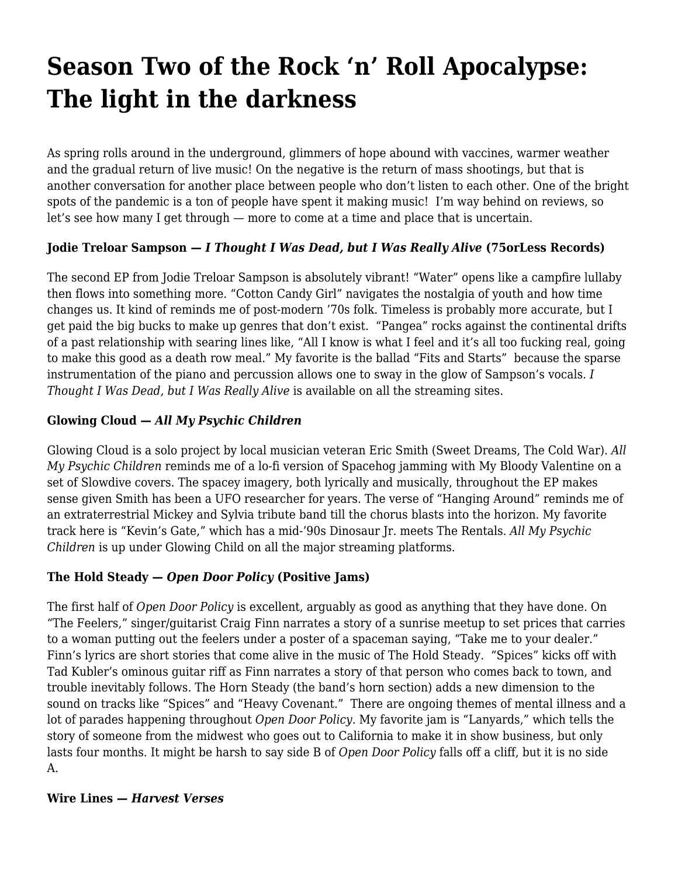# **[Season Two of the Rock 'n' Roll Apocalypse:](https://motifri.com/season-two-of-the-rock-n-roll-apocalypse-the-light-in-the-darkness/) [The light in the darkness](https://motifri.com/season-two-of-the-rock-n-roll-apocalypse-the-light-in-the-darkness/)**

As spring rolls around in the underground, glimmers of hope abound with vaccines, warmer weather and the gradual return of live music! On the negative is the return of mass shootings, but that is another conversation for another place between people who don't listen to each other. One of the bright spots of the pandemic is a ton of people have spent it making music! I'm way behind on reviews, so let's see how many I get through — more to come at a time and place that is uncertain.

## **Jodie Treloar Sampson —** *I Thought I Was Dead, but I Was Really Alive* **(75orLess Records)**

The second EP from Jodie Treloar Sampson is absolutely vibrant! "Water" opens like a campfire lullaby then flows into something more. "Cotton Candy Girl" navigates the nostalgia of youth and how time changes us. It kind of reminds me of post-modern '70s folk. Timeless is probably more accurate, but I get paid the big bucks to make up genres that don't exist. "Pangea" rocks against the continental drifts of a past relationship with searing lines like, "All I know is what I feel and it's all too fucking real, going to make this good as a death row meal." My favorite is the ballad "Fits and Starts" because the sparse instrumentation of the piano and percussion allows one to sway in the glow of Sampson's vocals. *I Thought I Was Dead, but I Was Really Alive* is available on all the streaming sites.

## **Glowing Cloud —** *All My Psychic Children*

Glowing Cloud is a solo project by local musician veteran Eric Smith (Sweet Dreams, The Cold War). *All My Psychic Children* reminds me of a lo-fi version of Spacehog jamming with My Bloody Valentine on a set of Slowdive covers. The spacey imagery, both lyrically and musically, throughout the EP makes sense given Smith has been a UFO researcher for years. The verse of "Hanging Around" reminds me of an extraterrestrial Mickey and Sylvia tribute band till the chorus blasts into the horizon. My favorite track here is "Kevin's Gate," which has a mid-'90s Dinosaur Jr. meets The Rentals. *All My Psychic Children* is up under Glowing Child on all the major streaming platforms.

### **The Hold Steady —** *Open Door Policy* **(Positive Jams)**

The first half of *Open Door Policy* is excellent, arguably as good as anything that they have done. On "The Feelers," singer/guitarist Craig Finn narrates a story of a sunrise meetup to set prices that carries to a woman putting out the feelers under a poster of a spaceman saying, "Take me to your dealer." Finn's lyrics are short stories that come alive in the music of The Hold Steady. "Spices" kicks off with Tad Kubler's ominous guitar riff as Finn narrates a story of that person who comes back to town, and trouble inevitably follows. The Horn Steady (the band's horn section) adds a new dimension to the sound on tracks like "Spices" and "Heavy Covenant." There are ongoing themes of mental illness and a lot of parades happening throughout *Open Door Policy*. My favorite jam is "Lanyards," which tells the story of someone from the midwest who goes out to California to make it in show business, but only lasts four months. It might be harsh to say side B of *Open Door Policy* falls off a cliff, but it is no side A.

### **Wire Lines —** *Harvest Verses*